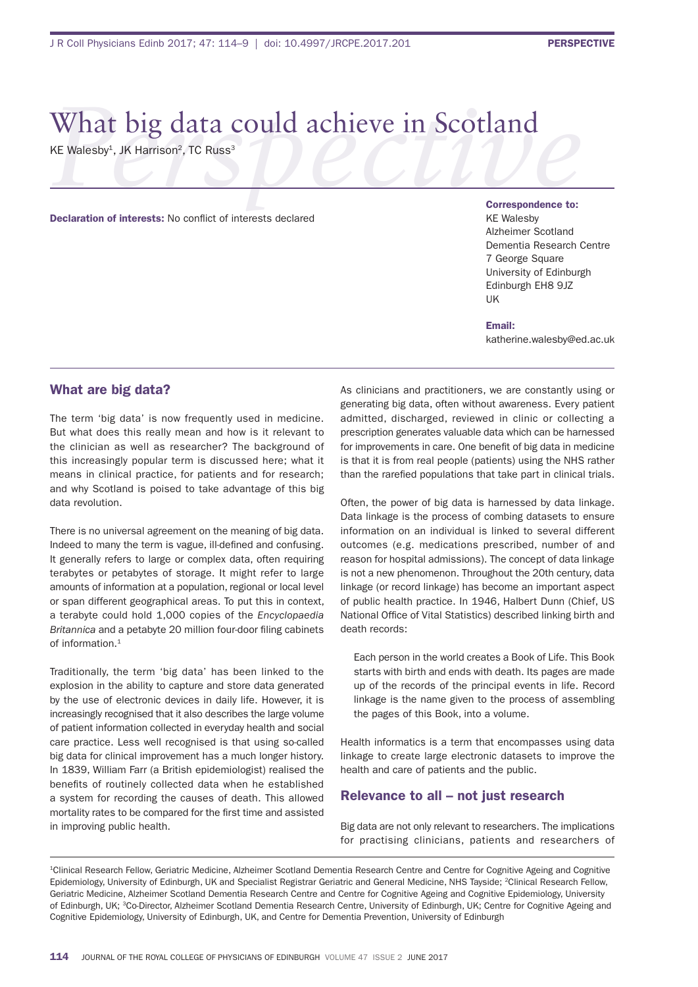# What big data could achieve in Scotland

KE Walesby<sup>1</sup>, JK Harrison<sup>2</sup>, TC Russ<sup>3</sup>

Declaration of interests: No conflict of interests declared

Correspondence to: **KE Walesby** alzheimer scotland Dementia Research Centre 7 george square University of Edinburgh Edinburgh EH8 9JZ uK

Email: katherine.walesby@ed.ac.uk

#### What are big data?

The term 'big data' is now frequently used in medicine. But what does this really mean and how is it relevant to the clinician as well as researcher? The background of this increasingly popular term is discussed here; what it means in clinical practice, for patients and for research; and why scotland is poised to take advantage of this big data revolution.

There is no universal agreement on the meaning of big data. Indeed to many the term is vague, ill-defined and confusing. It generally refers to large or complex data, often requiring terabytes or petabytes of storage. it might refer to large amounts of information at a population, regional or local level or span different geographical areas. To put this in context, a terabyte could hold 1,000 copies of the *Encyclopaedia*  **Britannica** and a petabyte 20 million four-door filing cabinets of information.<sup>1</sup>

Traditionally, the term 'big data' has been linked to the explosion in the ability to capture and store data generated by the use of electronic devices in daily life. however, it is increasingly recognised that it also describes the large volume of patient information collected in everyday health and social care practice. less well recognised is that using so-called big data for clinical improvement has a much longer history. In 1839, William Farr (a British epidemiologist) realised the benefits of routinely collected data when he established a system for recording the causes of death. This allowed mortality rates to be compared for the first time and assisted in improving public health.

As clinicians and practitioners, we are constantly using or generating big data, often without awareness. Every patient admitted, discharged, reviewed in clinic or collecting a prescription generates valuable data which can be harnessed for improvements in care. One benefit of big data in medicine is that it is from real people (patients) using the NHS rather than the rarefied populations that take part in clinical trials.

often, the power of big data is harnessed by data linkage. Data linkage is the process of combing datasets to ensure information on an individual is linked to several different outcomes (e.g. medications prescribed, number of and reason for hospital admissions). The concept of data linkage is not a new phenomenon. Throughout the 20th century, data linkage (or record linkage) has become an important aspect of public health practice. In 1946, Halbert Dunn (Chief, US National Office of Vital Statistics) described linking birth and death records:

Each person in the world creates a Book of Life. This Book starts with birth and ends with death. its pages are made up of the records of the principal events in life. Record linkage is the name given to the process of assembling the pages of this Book, into a volume.

health informatics is a term that encompasses using data linkage to create large electronic datasets to improve the health and care of patients and the public.

### Relevance to all – not just research

Big data are not only relevant to researchers. The implications for practising clinicians, patients and researchers of

<sup>1</sup>Clinical Research Fellow, Geriatric Medicine, Alzheimer Scotland Dementia Research Centre and Centre for Cognitive Ageing and Cognitive Epidemiology, University of Edinburgh, UK and Specialist Registrar Geriatric and General Medicine, NHS Tayside: <sup>2</sup>Clinical Research Fellow, Geriatric Medicine, Alzheimer Scotland Dementia Research Centre and Centre for Cognitive Ageing and Cognitive Epidemiology, University of Edinburgh, UK; <sup>3</sup>Co-Director, Alzheimer Scotland Dementia Research Centre, University of Edinburgh, UK; Centre for Cognitive Ageing and Cognitive Epidemiology, University of Edinburgh, UK, and Centre for Dementia Prevention, University of Edinburgh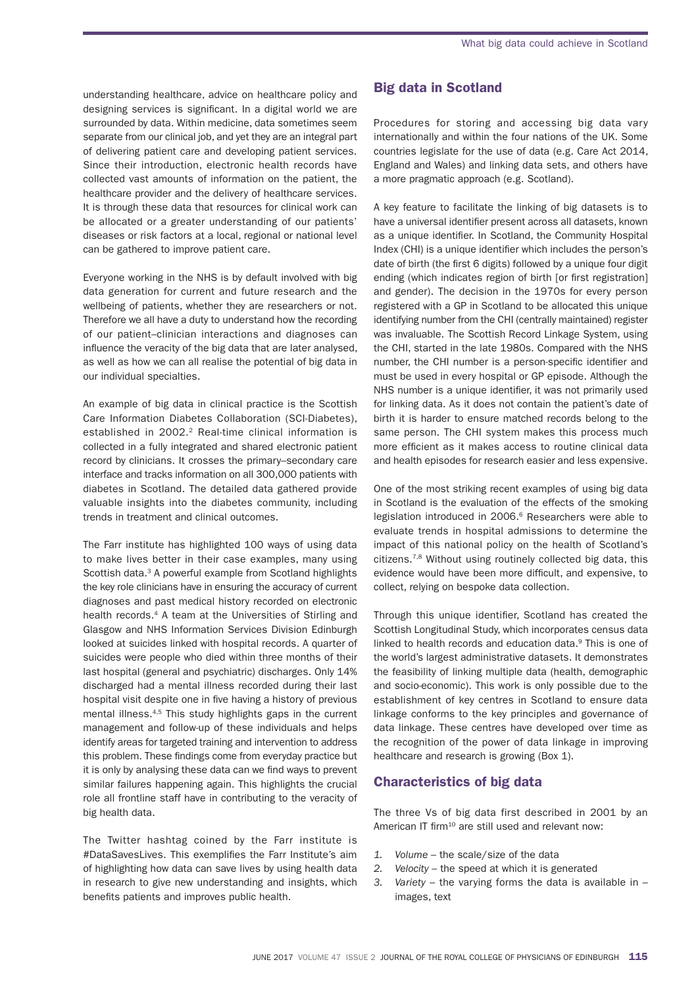understanding healthcare, advice on healthcare policy and designing services is significant. In a digital world we are surrounded by data. Within medicine, data sometimes seem separate from our clinical job, and yet they are an integral part of delivering patient care and developing patient services. since their introduction, electronic health records have collected vast amounts of information on the patient, the healthcare provider and the delivery of healthcare services. It is through these data that resources for clinical work can be allocated or a greater understanding of our patients' diseases or risk factors at a local, regional or national level can be gathered to improve patient care.

Everyone working in the NHS is by default involved with big data generation for current and future research and the wellbeing of patients, whether they are researchers or not. Therefore we all have a duty to understand how the recording of our patient–clinician interactions and diagnoses can influence the veracity of the big data that are later analysed, as well as how we can all realise the potential of big data in our individual specialties.

An example of big data in clinical practice is the Scottish Care Information Diabetes Collaboration (SCI-Diabetes), established in 2002.<sup>2</sup> Real-time clinical information is collected in a fully integrated and shared electronic patient record by clinicians. it crosses the primary–secondary care interface and tracks information on all 300,000 patients with diabetes in scotland. the detailed data gathered provide valuable insights into the diabetes community, including trends in treatment and clinical outcomes.

The Farr institute has highlighted 100 ways of using data to make lives better in their case examples, many using Scottish data.<sup>3</sup> A powerful example from Scotland highlights the key role clinicians have in ensuring the accuracy of current diagnoses and past medical history recorded on electronic health records.<sup>4</sup> A team at the Universities of Stirling and Glasgow and NHS Information Services Division Edinburgh looked at suicides linked with hospital records. A quarter of suicides were people who died within three months of their last hospital (general and psychiatric) discharges. only 14% discharged had a mental illness recorded during their last hospital visit despite one in five having a history of previous mental illness.4,5 this study highlights gaps in the current management and follow-up of these individuals and helps identify areas for targeted training and intervention to address this problem. These findings come from everyday practice but it is only by analysing these data can we find ways to prevent similar failures happening again. This highlights the crucial role all frontline staff have in contributing to the veracity of big health data.

The Twitter hashtag coined by the Farr institute is #DataSavesLives. This exemplifies the Farr Institute's aim of highlighting how data can save lives by using health data in research to give new understanding and insights, which benefits patients and improves public health.

## Big data in Scotland

Procedures for storing and accessing big data vary internationally and within the four nations of the UK. Some countries legislate for the use of data (e.g. Care Act 2014, england and Wales) and linking data sets, and others have a more pragmatic approach (e.g. scotland).

a key feature to facilitate the linking of big datasets is to have a universal identifier present across all datasets, known as a unique identifier. In Scotland, the Community Hospital Index (CHI) is a unique identifier which includes the person's date of birth (the first 6 digits) followed by a unique four digit ending (which indicates region of birth [or first registration] and gender). The decision in the 1970s for every person registered with a GP in Scotland to be allocated this unique identifying number from the CHI (centrally maintained) register was invaluable. The Scottish Record Linkage System, using the CHI, started in the late 1980s. Compared with the NHS number, the CHI number is a person-specific identifier and must be used in every hospital or GP episode. Although the NHS number is a unique identifier, it was not primarily used for linking data. As it does not contain the patient's date of birth it is harder to ensure matched records belong to the same person. The CHI system makes this process much more efficient as it makes access to routine clinical data and health episodes for research easier and less expensive.

one of the most striking recent examples of using big data in scotland is the evaluation of the effects of the smoking legislation introduced in 2006.<sup>6</sup> Researchers were able to evaluate trends in hospital admissions to determine the impact of this national policy on the health of scotland's citizens.7,8 Without using routinely collected big data, this evidence would have been more difficult, and expensive, to collect, relying on bespoke data collection.

Through this unique identifier, Scotland has created the scottish longitudinal study, which incorporates census data linked to health records and education data.<sup>9</sup> This is one of the world's largest administrative datasets. it demonstrates the feasibility of linking multiple data (health, demographic and socio-economic). This work is only possible due to the establishment of key centres in scotland to ensure data linkage conforms to the key principles and governance of data linkage. These centres have developed over time as the recognition of the power of data linkage in improving healthcare and research is growing (Box 1).

#### Characteristics of big data

The three Vs of big data first described in 2001 by an American IT firm<sup>10</sup> are still used and relevant now:

- *1. Volume* the scale/size of the data
- *2. Velocity* the speed at which it is generated
- *3. Variety* the varying forms the data is available in images, text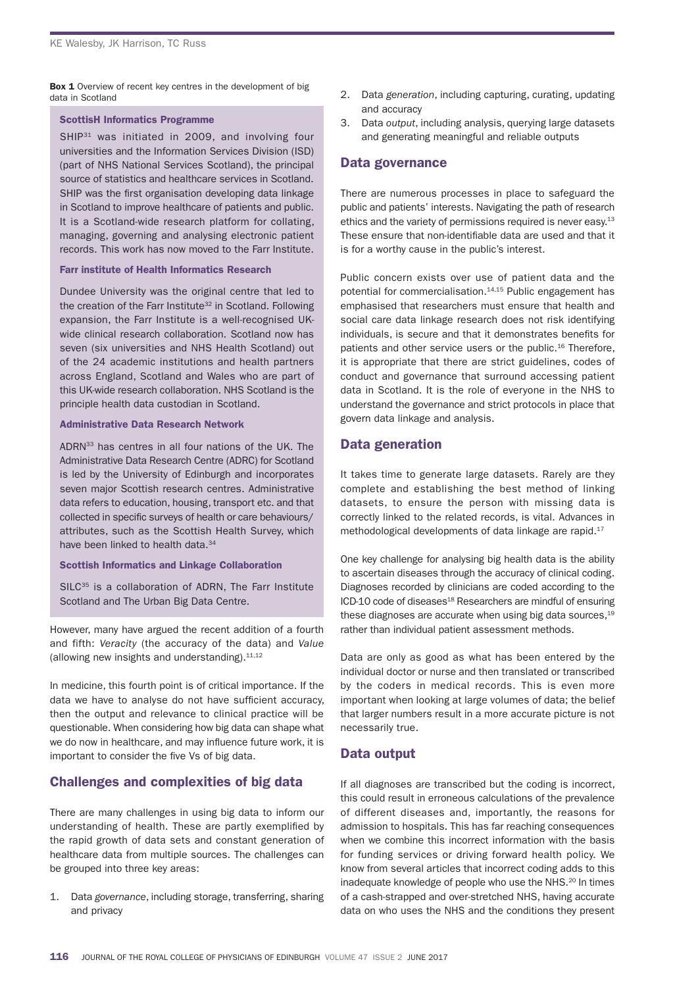Box 1 Overview of recent key centres in the development of big data in scotland

#### ScottisH Informatics Programme

SHIP<sup>31</sup> was initiated in 2009, and involving four universities and the Information Services Division (ISD) (part of NHS National Services Scotland), the principal source of statistics and healthcare services in Scotland. SHIP was the first organisation developing data linkage in scotland to improve healthcare of patients and public. It is a Scotland-wide research platform for collating, managing, governing and analysing electronic patient records. This work has now moved to the Farr Institute.

#### Farr institute of Health Informatics Research

Dundee University was the original centre that led to the creation of the Farr Institute<sup>32</sup> in Scotland. Following expansion, the farr institute is a well-recognised uKwide clinical research collaboration. Scotland now has seven (six universities and NHS Health Scotland) out of the 24 academic institutions and health partners across England, Scotland and Wales who are part of this UK-wide research collaboration. NHS Scotland is the principle health data custodian in scotland.

#### Administrative Data Research Network

ADRN<sup>33</sup> has centres in all four nations of the UK. The Administrative Data Research Centre (ADRC) for Scotland is led by the University of Edinburgh and incorporates seven major Scottish research centres. Administrative data refers to education, housing, transport etc. and that collected in specific surveys of health or care behaviours/ attributes, such as the Scottish Health Survey, which have been linked to health data.<sup>34</sup>

Scottish Informatics and Linkage Collaboration

 $SILC<sup>35</sup>$  is a collaboration of ADRN. The Farr Institute Scotland and The Urban Big Data Centre.

however, many have argued the recent addition of a fourth and fifth: *Veracity* (the accuracy of the data) and *Value* (allowing new insights and understanding).  $11,12$ 

In medicine, this fourth point is of critical importance. If the data we have to analyse do not have sufficient accuracy, then the output and relevance to clinical practice will be questionable. When considering how big data can shape what we do now in healthcare, and may influence future work, it is important to consider the five Vs of big data.

## Challenges and complexities of big data

There are many challenges in using big data to inform our understanding of health. These are partly exemplified by the rapid growth of data sets and constant generation of healthcare data from multiple sources. The challenges can be grouped into three key areas:

1. data *governance*, including storage, transferring, sharing and privacy

- 2. Data *generation*, including capturing, curating, updating and accuracy
- 3. Data *output*, including analysis, querying large datasets and generating meaningful and reliable outputs

#### Data governance

There are numerous processes in place to safeguard the public and patients' interests. navigating the path of research ethics and the variety of permissions required is never easy.<sup>13</sup> These ensure that non-identifiable data are used and that it is for a worthy cause in the public's interest.

Public concern exists over use of patient data and the potential for commercialisation.<sup>14,15</sup> Public engagement has emphasised that researchers must ensure that health and social care data linkage research does not risk identifying individuals, is secure and that it demonstrates benefits for patients and other service users or the public. $16$  Therefore, it is appropriate that there are strict guidelines, codes of conduct and governance that surround accessing patient data in Scotland. It is the role of everyone in the NHS to understand the governance and strict protocols in place that govern data linkage and analysis.

## Data generation

It takes time to generate large datasets. Rarely are they complete and establishing the best method of linking datasets, to ensure the person with missing data is correctly linked to the related records, is vital. advances in methodological developments of data linkage are rapid.17

one key challenge for analysing big health data is the ability to ascertain diseases through the accuracy of clinical coding. Diagnoses recorded by clinicians are coded according to the ICD-10 code of diseases<sup>18</sup> Researchers are mindful of ensuring these diagnoses are accurate when using big data sources, $19$ rather than individual patient assessment methods.

Data are only as good as what has been entered by the individual doctor or nurse and then translated or transcribed by the coders in medical records. This is even more important when looking at large volumes of data; the belief that larger numbers result in a more accurate picture is not necessarily true.

## Data output

If all diagnoses are transcribed but the coding is incorrect, this could result in erroneous calculations of the prevalence of different diseases and, importantly, the reasons for admission to hospitals. This has far reaching consequences when we combine this incorrect information with the basis for funding services or driving forward health policy. We know from several articles that incorrect coding adds to this inadequate knowledge of people who use the NHS.<sup>20</sup> In times of a cash-strapped and over-stretched NHS, having accurate data on who uses the NHS and the conditions they present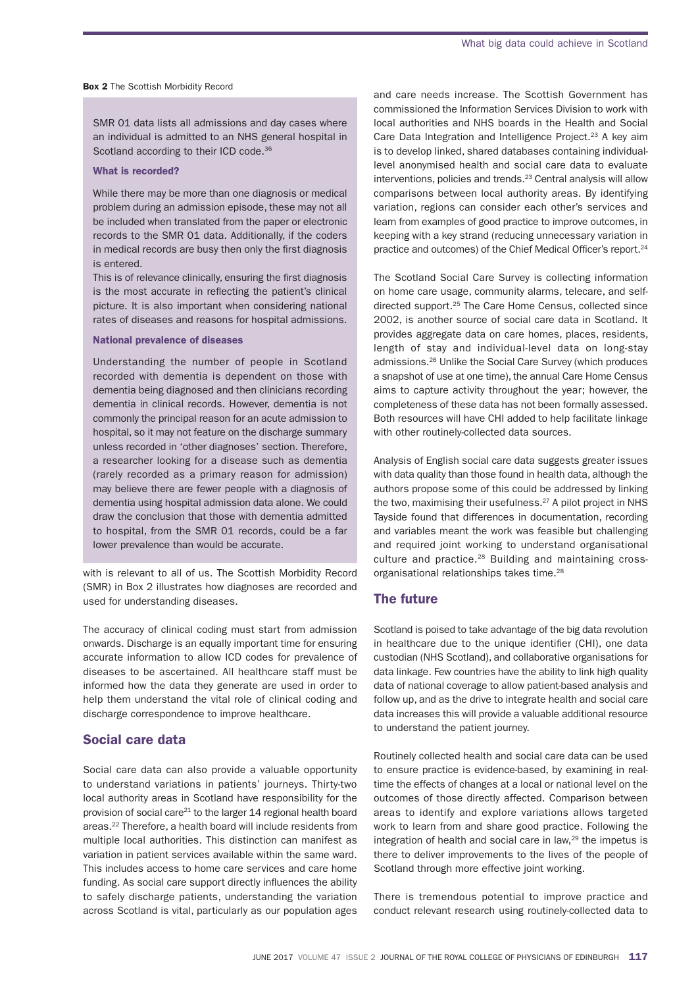#### **Box 2** The Scottish Morbidity Record

SMR 01 data lists all admissions and day cases where an individual is admitted to an NHS general hospital in Scotland according to their ICD code.<sup>36</sup>

#### What is recorded?

While there may be more than one diagnosis or medical problem during an admission episode, these may not all be included when translated from the paper or electronic records to the SMR 01 data. Additionally, if the coders in medical records are busy then only the first diagnosis is entered.

This is of relevance clinically, ensuring the first diagnosis is the most accurate in reflecting the patient's clinical picture. it is also important when considering national rates of diseases and reasons for hospital admissions.

#### National prevalence of diseases

Understanding the number of people in Scotland recorded with dementia is dependent on those with dementia being diagnosed and then clinicians recording dementia in clinical records. however, dementia is not commonly the principal reason for an acute admission to hospital, so it may not feature on the discharge summary unless recorded in 'other diagnoses' section. Therefore, a researcher looking for a disease such as dementia (rarely recorded as a primary reason for admission) may believe there are fewer people with a diagnosis of dementia using hospital admission data alone. We could draw the conclusion that those with dementia admitted to hospital, from the SMR 01 records, could be a far lower prevalence than would be accurate.

with is relevant to all of us. The Scottish Morbidity Record (SMR) in Box 2 illustrates how diagnoses are recorded and used for understanding diseases.

The accuracy of clinical coding must start from admission onwards. Discharge is an equally important time for ensuring accurate information to allow ICD codes for prevalence of diseases to be ascertained. all healthcare staff must be informed how the data they generate are used in order to help them understand the vital role of clinical coding and discharge correspondence to improve healthcare.

#### Social care data

social care data can also provide a valuable opportunity to understand variations in patients' journeys. Thirty-two local authority areas in scotland have responsibility for the provision of social care<sup>21</sup> to the larger 14 regional health board areas.<sup>22</sup> Therefore, a health board will include residents from multiple local authorities. This distinction can manifest as variation in patient services available within the same ward. This includes access to home care services and care home funding. As social care support directly influences the ability to safely discharge patients, understanding the variation across scotland is vital, particularly as our population ages

and care needs increase. The Scottish Government has commissioned the information services division to work with local authorities and NHS boards in the Health and Social Care Data Integration and Intelligence Project.<sup>23</sup> A key aim is to develop linked, shared databases containing individuallevel anonymised health and social care data to evaluate interventions, policies and trends.<sup>23</sup> Central analysis will allow comparisons between local authority areas. By identifying variation, regions can consider each other's services and learn from examples of good practice to improve outcomes, in keeping with a key strand (reducing unnecessary variation in practice and outcomes) of the Chief Medical Officer's report.<sup>24</sup>

The Scotland Social Care Survey is collecting information on home care usage, community alarms, telecare, and selfdirected support.<sup>25</sup> The Care Home Census, collected since 2002, is another source of social care data in scotland. it provides aggregate data on care homes, places, residents, length of stay and individual-level data on long-stay admissions.<sup>26</sup> Unlike the Social Care Survey (which produces a snapshot of use at one time), the annual Care home Census aims to capture activity throughout the year; however, the completeness of these data has not been formally assessed. both resources will have Chi added to help facilitate linkage with other routinely-collected data sources.

Analysis of English social care data suggests greater issues with data quality than those found in health data, although the authors propose some of this could be addressed by linking the two, maximising their usefulness.<sup>27</sup> A pilot project in NHS Tayside found that differences in documentation, recording and variables meant the work was feasible but challenging and required joint working to understand organisational culture and practice.<sup>28</sup> Building and maintaining crossorganisational relationships takes time.<sup>28</sup>

#### The future

scotland is poised to take advantage of the big data revolution in healthcare due to the unique identifier (CHI), one data custodian (NHS Scotland), and collaborative organisations for data linkage. few countries have the ability to link high quality data of national coverage to allow patient-based analysis and follow up, and as the drive to integrate health and social care data increases this will provide a valuable additional resource to understand the patient journey.

Routinely collected health and social care data can be used to ensure practice is evidence-based, by examining in realtime the effects of changes at a local or national level on the outcomes of those directly affected. Comparison between areas to identify and explore variations allows targeted work to learn from and share good practice. following the integration of health and social care in law,<sup>29</sup> the impetus is there to deliver improvements to the lives of the people of Scotland through more effective joint working.

There is tremendous potential to improve practice and conduct relevant research using routinely-collected data to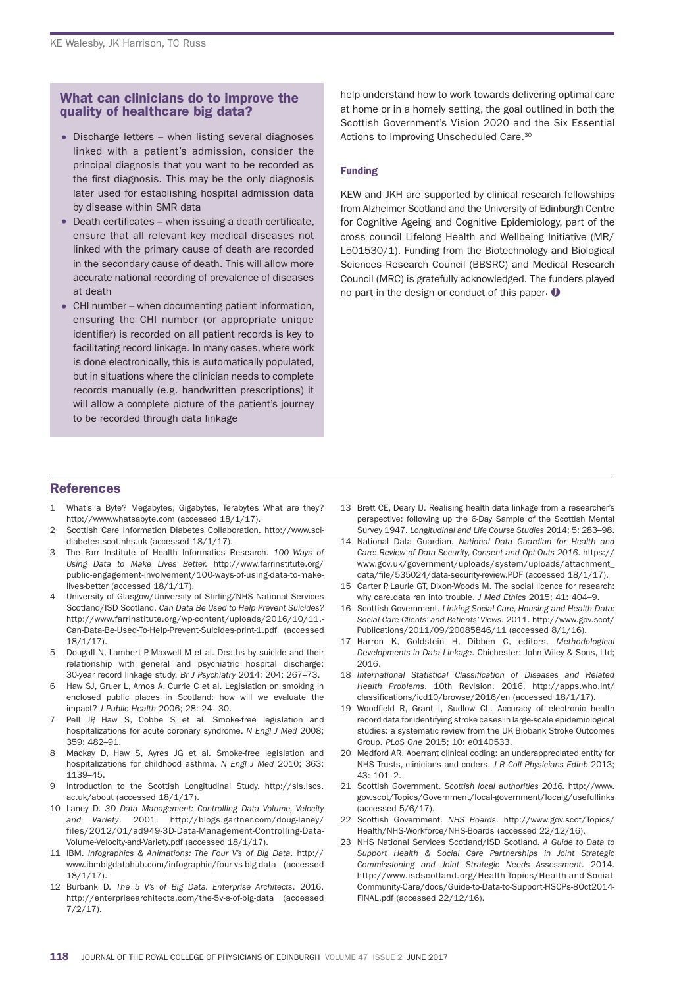#### What can clinicians do to improve the quality of healthcare big data?

- Discharge letters when listing several diagnoses linked with a patient's admission, consider the principal diagnosis that you want to be recorded as the first diagnosis. This may be the only diagnosis later used for establishing hospital admission data by disease within SMR data
- $\bullet$  Death certificates when issuing a death certificate, ensure that all relevant key medical diseases not linked with the primary cause of death are recorded in the secondary cause of death. This will allow more accurate national recording of prevalence of diseases at death
- CHI number when documenting patient information, ensuring the Chi number (or appropriate unique identifier) is recorded on all patient records is key to facilitating record linkage. in many cases, where work is done electronically, this is automatically populated, but in situations where the clinician needs to complete records manually (e.g. handwritten prescriptions) it will allow a complete picture of the patient's journey to be recorded through data linkage

help understand how to work towards delivering optimal care at home or in a homely setting, the goal outlined in both the Scottish Government's Vision 2020 and the Six Essential Actions to Improving Unscheduled Care.<sup>30</sup>

#### Funding

KeW and JKh are supported by clinical research fellowships from Alzheimer Scotland and the University of Edinburgh Centre for Cognitive Ageing and Cognitive Epidemiology, part of the cross council Lifelong Health and Wellbeing Initiative (MR/ L501530/1). Funding from the Biotechnology and Biological Sciences Research Council (BBSRC) and Medical Research Council (MRC) is gratefully acknowledged. The funders played no part in the design or conduct of this paper.  $\mathbf 0$ 

## **References**

- 1 What's a Byte? Megabytes, Gigabytes, Terabytes What are they? http://www.whatsabyte.com (accessed 18/1/17).
- 2 Scottish Care Information Diabetes Collaboration. http://www.scidiabetes.scot.nhs.uk (accessed 18/1/17).
- 3 the farr institute of health informatics research. *100 Ways of Using Data to Make Lives Better.* http://www.farrinstitute.org/ public-engagement-involvement/100-ways-of-using-data-to-makelives-better (accessed 18/1/17).
- 4 University of Glasgow/University of Stirling/NHS National Services Scotland/ISD Scotland. *Can Data Be Used to Help Prevent Suicides?* http://www.farrinstitute.org/wp-content/uploads/2016/10/11.- Can-Data-Be-Used-To-Help-Prevent-Suicides-print-1.pdf (accessed 18/1/17).
- 5 Dougall N, Lambert P, Maxwell M et al. Deaths by suicide and their relationship with general and psychiatric hospital discharge: 30-year record linkage study. *Br J Psychiatry* 2014; 204: 267–73.
- 6 haw sJ, gruer l, amos a, Currie C et al. legislation on smoking in enclosed public places in scotland: how will we evaluate the impact? *J Public Health* 2006; 28: 24-30.
- 7 Pell JP, Haw S, Cobbe S et al. Smoke-free legislation and hospitalizations for acute coronary syndrome. *N Engl J Med* 2008; 359: 482–91.
- 8 Mackay D, Haw S, Ayres JG et al. Smoke-free legislation and hospitalizations for childhood asthma. *N Engl J Med* 2010; 363: 1139–45.
- Introduction to the Scottish Longitudinal Study. http://sls.lscs. ac.uk/about (accessed 18/1/17).
- 10 Laney D. 3D Data Management: Controlling Data Volume, Velocity *and Variety*. 2001. http://blogs.gartner.com/doug-laney/ files/2012/01/ad949-3D-Data-Management-Controlling-Datavolume-velocity-and-variety.pdf (accessed 18/1/17).
- 11 ibm. *Infographics & Animations: The Four V's of Big Data*. http:// www.ibmbigdatahub.com/infographic/four-vs-big-data (accessed 18/1/17).
- 12 burbank d. *The 5 V's of Big Data. Enterprise Architects*. 2016. http://enterprisearchitects.com/the-5v-s-of-big-data (accessed 7/2/17).
- 13 Brett CE, Deary IJ. Realising health data linkage from a researcher's perspective: following up the 6-Day Sample of the Scottish Mental survey 1947. *Longitudinal and Life Course Studies* 2014; 5: 283–98.
- 14 national data guardian. *National Data Guardian for Health and Care: Review of Data Security, Consent and Opt-Outs 2016*. https:// www.gov.uk/government/uploads/system/uploads/attachment\_ data/file/535024/data-security-review.PDF (accessed 18/1/17).
- 15 Carter P, Laurie GT, Dixon-Woods M. The social licence for research: why care.data ran into trouble. *J Med Ethics* 2015; 41: 404–9.
- 16 scottish government. *Linking Social Care, Housing and Health Data: Social Care Clients' and Patients' Views*. 2011. http://www.gov.scot/ Publications/2011/09/20085846/11 (accessed 8/1/16).
- 17 harron K, goldstein h, dibben C, editors. *Methodological Developments in Data Linkage. Chichester: John Wiley & Sons, Ltd;* 2016.
- 18 *International Statistical Classification of Diseases and Related Health Problems.* 10th Revision. 2016. http://apps.who.int/ classifications/icd10/browse/2016/en (accessed 18/1/17).
- 19 Woodfield R, Grant I, Sudlow CL. Accuracy of electronic health record data for identifying stroke cases in large-scale epidemiological studies: a systematic review from the UK Biobank Stroke Outcomes group. *PLoS One* 2015; 10: e0140533.
- 20 Medford AR. Aberrant clinical coding: an underappreciated entity for nhs trusts, clinicians and coders. *J R Coll Physicians Edinb* 2013; 43: 101–2.
- 21 scottish government. *Scottish local authorities 2016.* http://www. gov.scot/Topics/Government/local-government/localg/usefullinks (accessed 5/6/17).
- 22 scottish government. *NHS Boards*. http://www.gov.scot/topics/ health/nhs-Workforce/nhs-boards (accessed 22/12/16).
- 23 NHS National Services Scotland/ISD Scotland. A Guide to Data to *Support Health & Social Care Partnerships in Joint Strategic Commissioning and Joint Strategic Needs Assessment*. 2014. http://www.isdscotland.org/Health-Topics/Health-and-Social-Community-Care/docs/guide-to-data-to-support-hsCPs-8oct2014- FINAL.pdf (accessed 22/12/16).